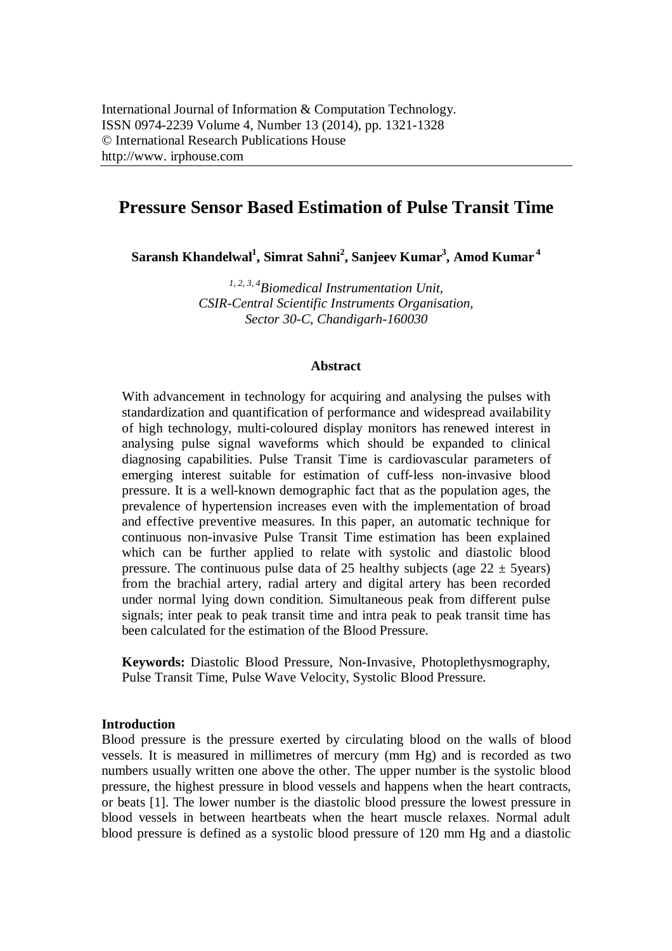# **Pressure Sensor Based Estimation of Pulse Transit Time**

**Saransh Khandelwal<sup>1</sup> , Simrat Sahni<sup>2</sup> , Sanjeev Kumar<sup>3</sup> , Amod Kumar <sup>4</sup>**

*1, 2, 3, 4 Biomedical Instrumentation Unit, CSIR-Central Scientific Instruments Organisation, Sector 30-C, Chandigarh-160030*

### **Abstract**

With advancement in technology for acquiring and analysing the pulses with standardization and quantification of performance and widespread availability of high technology, multi-coloured display monitors has renewed interest in analysing pulse signal waveforms which should be expanded to clinical diagnosing capabilities. Pulse Transit Time is cardiovascular parameters of emerging interest suitable for estimation of cuff-less non-invasive blood pressure. It is a well-known demographic fact that as the population ages, the prevalence of hypertension increases even with the implementation of broad and effective preventive measures. In this paper, an automatic technique for continuous non-invasive Pulse Transit Time estimation has been explained which can be further applied to relate with systolic and diastolic blood pressure. The continuous pulse data of 25 healthy subjects (age  $22 \pm 5$ years) from the brachial artery, radial artery and digital artery has been recorded under normal lying down condition. Simultaneous peak from different pulse signals; inter peak to peak transit time and intra peak to peak transit time has been calculated for the estimation of the Blood Pressure.

**Keywords:** Diastolic Blood Pressure, Non-Invasive, Photoplethysmography, Pulse Transit Time, Pulse Wave Velocity, Systolic Blood Pressure.

### **Introduction**

Blood pressure is the pressure exerted by circulating blood on the walls of blood vessels. It is measured in millimetres of mercury (mm Hg) and is recorded as two numbers usually written one above the other. The upper number is the systolic blood pressure, the highest pressure in blood vessels and happens when the heart contracts, or beats [1]. The lower number is the diastolic blood pressure the lowest pressure in blood vessels in between heartbeats when the heart muscle relaxes. Normal adult blood pressure is defined as a systolic blood pressure of 120 mm Hg and a diastolic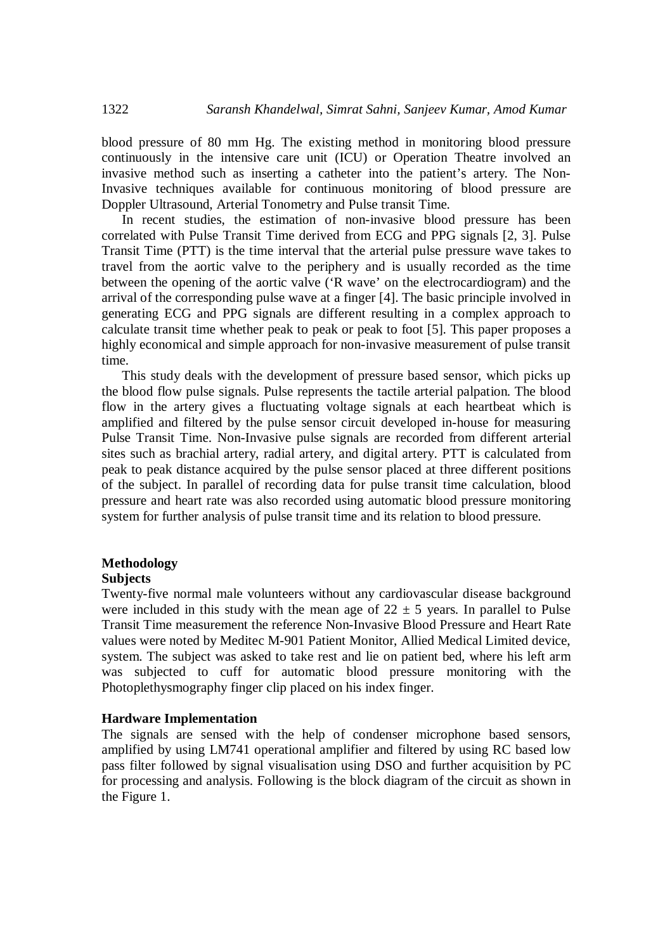blood pressure of 80 mm Hg. The existing method in monitoring blood pressure continuously in the intensive care unit (ICU) or Operation Theatre involved an invasive method such as inserting a catheter into the patient's artery. The Non-Invasive techniques available for continuous monitoring of blood pressure are Doppler Ultrasound, Arterial Tonometry and Pulse transit Time.

In recent studies, the estimation of non-invasive blood pressure has been correlated with Pulse Transit Time derived from ECG and PPG signals [2, 3]. Pulse Transit Time (PTT) is the time interval that the arterial pulse pressure wave takes to travel from the aortic valve to the periphery and is usually recorded as the time between the opening of the aortic valve ('R wave' on the electrocardiogram) and the arrival of the corresponding pulse wave at a finger [4]. The basic principle involved in generating ECG and PPG signals are different resulting in a complex approach to calculate transit time whether peak to peak or peak to foot [5]. This paper proposes a highly economical and simple approach for non-invasive measurement of pulse transit time.

This study deals with the development of pressure based sensor, which picks up the blood flow pulse signals. Pulse represents the tactile arterial palpation. The blood flow in the artery gives a fluctuating voltage signals at each heartbeat which is amplified and filtered by the pulse sensor circuit developed in-house for measuring Pulse Transit Time. Non-Invasive pulse signals are recorded from different arterial sites such as brachial artery, radial artery, and digital artery. PTT is calculated from peak to peak distance acquired by the pulse sensor placed at three different positions of the subject. In parallel of recording data for pulse transit time calculation, blood pressure and heart rate was also recorded using automatic blood pressure monitoring system for further analysis of pulse transit time and its relation to blood pressure.

# **Methodology**

### **Subjects**

Twenty-five normal male volunteers without any cardiovascular disease background were included in this study with the mean age of  $22 \pm 5$  years. In parallel to Pulse Transit Time measurement the reference Non-Invasive Blood Pressure and Heart Rate values were noted by Meditec M-901 Patient Monitor, Allied Medical Limited device, system. The subject was asked to take rest and lie on patient bed, where his left arm was subjected to cuff for automatic blood pressure monitoring with the Photoplethysmography finger clip placed on his index finger.

### **Hardware Implementation**

The signals are sensed with the help of condenser microphone based sensors, amplified by using LM741 operational amplifier and filtered by using RC based low pass filter followed by signal visualisation using DSO and further acquisition by PC for processing and analysis. Following is the block diagram of the circuit as shown in the Figure 1.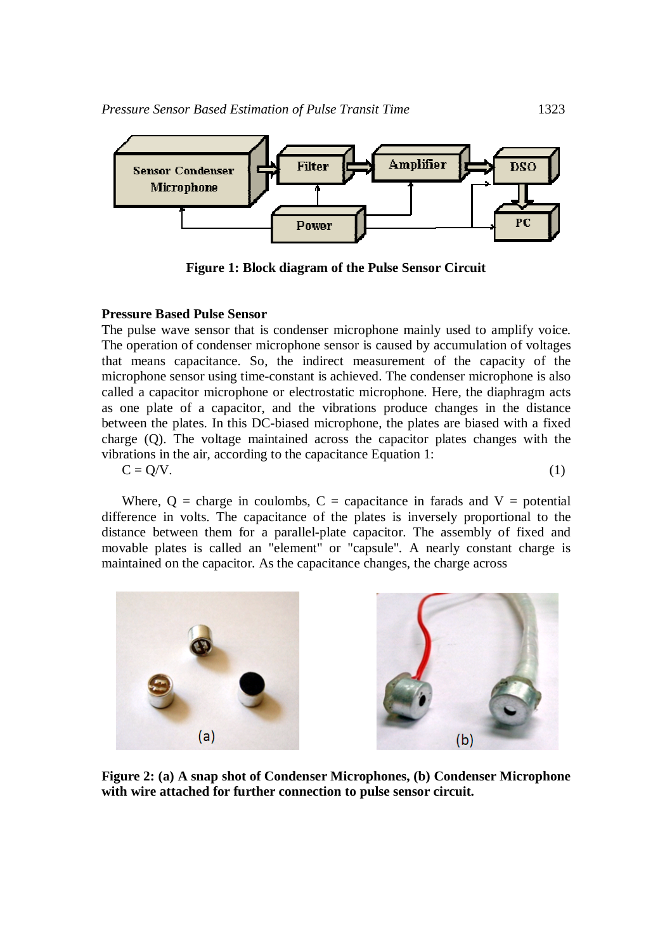

**Figure 1: Block diagram of the Pulse Sensor Circuit**

## **Pressure Based Pulse Sensor**

The pulse wave sensor that is condenser microphone mainly used to amplify voice. The operation of condenser microphone sensor is caused by accumulation of voltages that means capacitance. So, the indirect measurement of the capacity of the microphone sensor using time-constant is achieved. The condenser microphone is also called a capacitor microphone or electrostatic microphone. Here, the diaphragm acts as one plate of a capacitor, and the vibrations produce changes in the distance between the plates. In this DC-biased microphone, the plates are biased with a fixed charge (Q). The voltage maintained across the capacitor plates changes with the vibrations in the air, according to the capacitance Equation 1:

 $C = Q/V.$  (1)

Where,  $Q =$  charge in coulombs,  $C =$  capacitance in farads and  $V =$  potential difference in volts. The capacitance of the plates is inversely proportional to the distance between them for a parallel-plate capacitor. The assembly of fixed and movable plates is called an "element" or "capsule". A nearly constant charge is maintained on the capacitor. As the capacitance changes, the charge across



**Figure 2: (a) A snap shot of Condenser Microphones, (b) Condenser Microphone with wire attached for further connection to pulse sensor circuit.**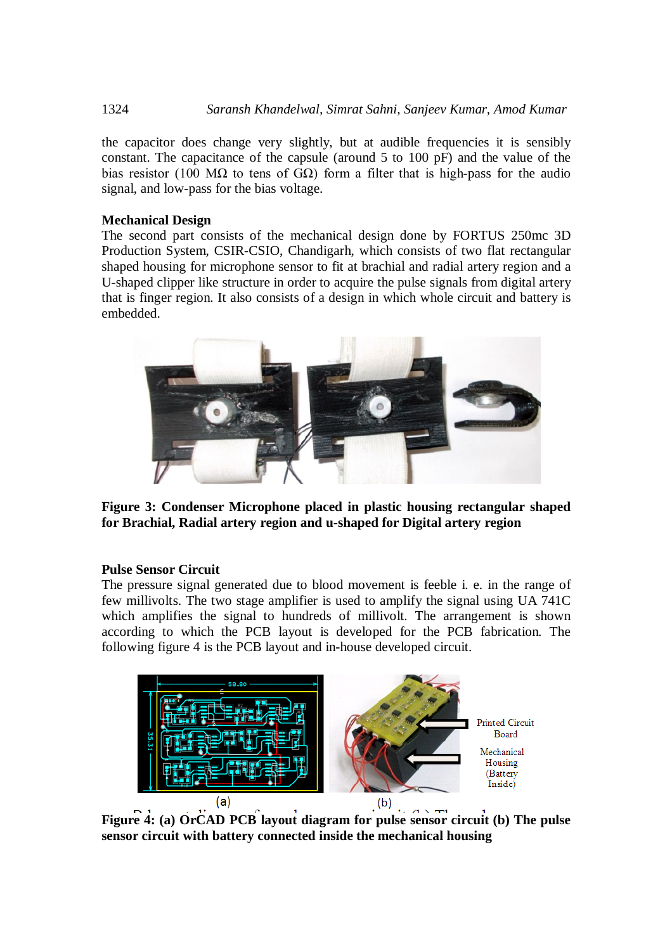the capacitor does change very slightly, but at audible frequencies it is sensibly constant. The capacitance of the capsule (around 5 to 100 pF) and the value of the bias resistor (100 M $\Omega$  to tens of G $\Omega$ ) form a filter that is high-pass for the audio signal, and low-pass for the bias voltage.

# **Mechanical Design**

The second part consists of the mechanical design done by FORTUS 250mc 3D Production System, CSIR-CSIO, Chandigarh, which consists of two flat rectangular shaped housing for microphone sensor to fit at brachial and radial artery region and a U-shaped clipper like structure in order to acquire the pulse signals from digital artery that is finger region. It also consists of a design in which whole circuit and battery is embedded.



**Figure 3: Condenser Microphone placed in plastic housing rectangular shaped for Brachial, Radial artery region and u-shaped for Digital artery region**

# **Pulse Sensor Circuit**

The pressure signal generated due to blood movement is feeble i. e. in the range of few millivolts. The two stage amplifier is used to amplify the signal using UA 741C which amplifies the signal to hundreds of millivolt. The arrangement is shown according to which the PCB layout is developed for the PCB fabrication. The following figure 4 is the PCB layout and in-house developed circuit.



**Figure 4: (a) OrCAD PCB layout diagram for pulse sensor circuit (b) The pulse sensor circuit with battery connected inside the mechanical housing**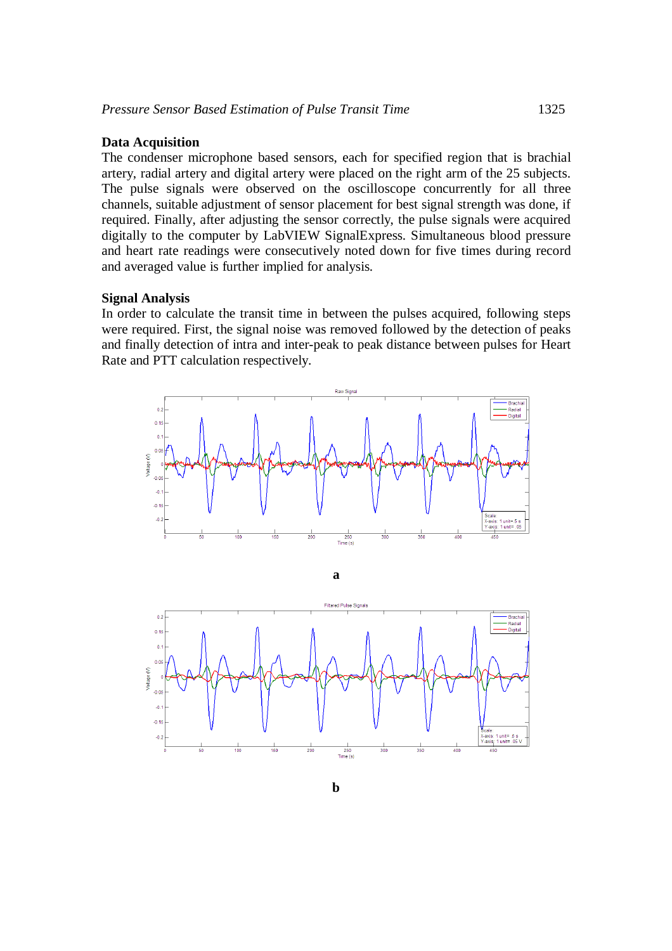### **Data Acquisition**

The condenser microphone based sensors, each for specified region that is brachial artery, radial artery and digital artery were placed on the right arm of the 25 subjects. The pulse signals were observed on the oscilloscope concurrently for all three channels, suitable adjustment of sensor placement for best signal strength was done, if required. Finally, after adjusting the sensor correctly, the pulse signals were acquired digitally to the computer by LabVIEW SignalExpress. Simultaneous blood pressure and heart rate readings were consecutively noted down for five times during record and averaged value is further implied for analysis.

#### **Signal Analysis**

In order to calculate the transit time in between the pulses acquired, following steps were required. First, the signal noise was removed followed by the detection of peaks and finally detection of intra and inter-peak to peak distance between pulses for Heart Rate and PTT calculation respectively.



**a**

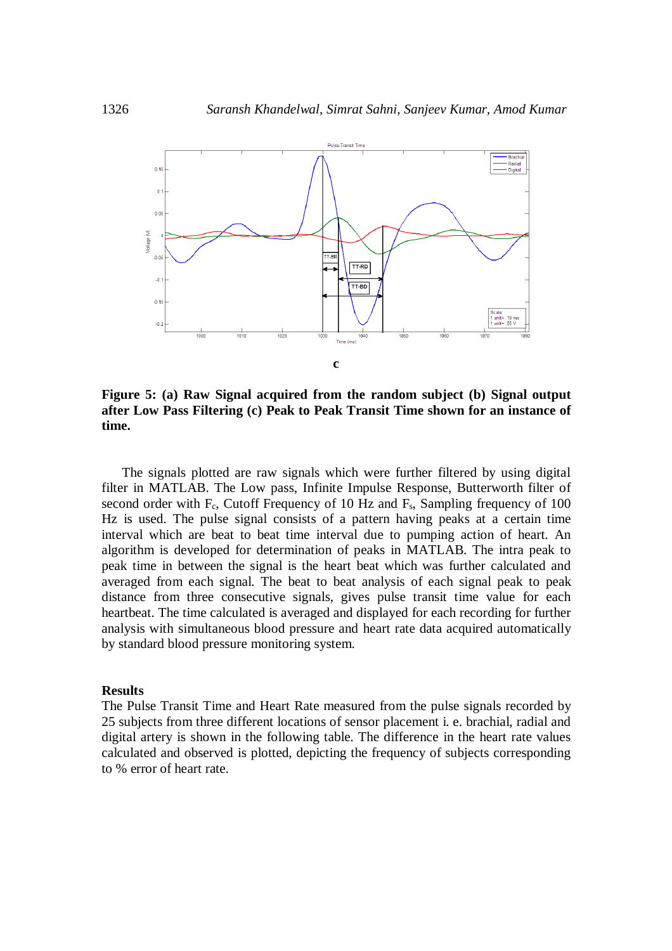

**Figure 5: (a) Raw Signal acquired from the random subject (b) Signal output after Low Pass Filtering (c) Peak to Peak Transit Time shown for an instance of time.** 

The signals plotted are raw signals which were further filtered by using digital filter in MATLAB. The Low pass, Infinite Impulse Response, Butterworth filter of second order with  $F_c$ , Cutoff Frequency of 10 Hz and  $F_s$ , Sampling frequency of 100 Hz is used. The pulse signal consists of a pattern having peaks at a certain time interval which are beat to beat time interval due to pumping action of heart. An algorithm is developed for determination of peaks in MATLAB. The intra peak to peak time in between the signal is the heart beat which was further calculated and averaged from each signal. The beat to beat analysis of each signal peak to peak distance from three consecutive signals, gives pulse transit time value for each heartbeat. The time calculated is averaged and displayed for each recording for further analysis with simultaneous blood pressure and heart rate data acquired automatically by standard blood pressure monitoring system.

### **Results**

The Pulse Transit Time and Heart Rate measured from the pulse signals recorded by 25 subjects from three different locations of sensor placement i. e. brachial, radial and digital artery is shown in the following table. The difference in the heart rate values calculated and observed is plotted, depicting the frequency of subjects corresponding to % error of heart rate.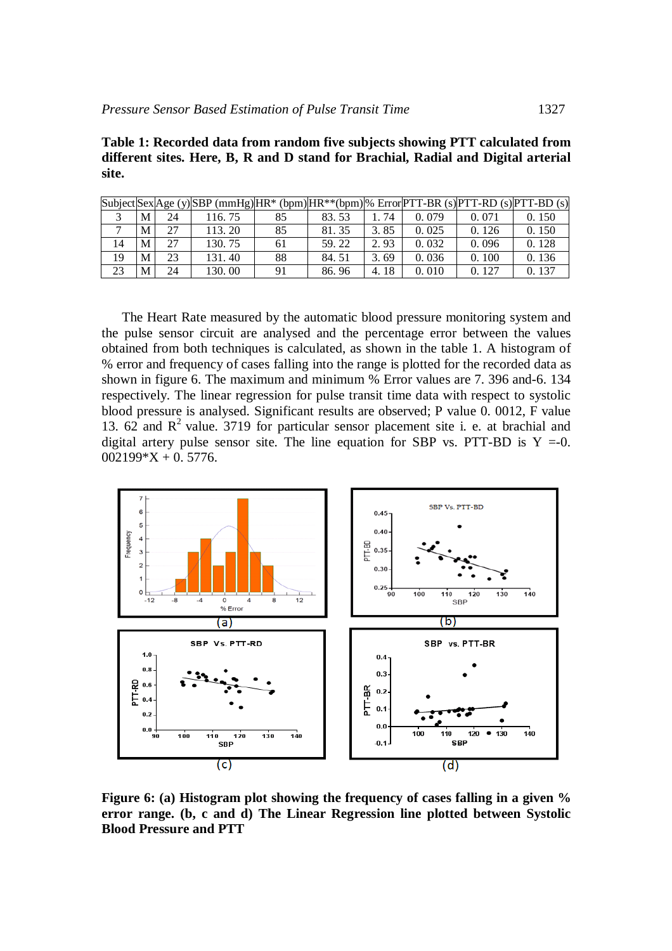**Table 1: Recorded data from random five subjects showing PTT calculated from different sites. Here, B, R and D stand for Brachial, Radial and Digital arterial site.** 

|    |   |    | $\text{Subject}$ Sex Age (y) SBP (mmHg) HR* (bpm) HR**(bpm) % Error PTT-BR (s) PTT-RD (s) PTT-BD (s) |    |       |      |       |       |       |
|----|---|----|------------------------------------------------------------------------------------------------------|----|-------|------|-------|-------|-------|
|    | M | 24 | 116.75                                                                                               | 85 | 83.53 | 74   | 0.079 | 0.071 | 0.150 |
|    | M |    | 113.20                                                                                               | 85 | 81.35 | 3.85 | 0.025 | 0.126 | 0.150 |
| 14 | M | 27 | 130.75                                                                                               | 61 | 59.22 | 2.93 | 0.032 | 0.096 | 0.128 |
| 19 |   | 23 | 131.40                                                                                               | 88 | 84.51 | 3.69 | 0.036 | 0.100 | 0.136 |
| 23 | M | 24 | 130.00                                                                                               | 91 | 86.96 | 4.18 | 0.010 | 0.127 | 0.137 |

The Heart Rate measured by the automatic blood pressure monitoring system and the pulse sensor circuit are analysed and the percentage error between the values obtained from both techniques is calculated, as shown in the table 1. A histogram of % error and frequency of cases falling into the range is plotted for the recorded data as shown in figure 6. The maximum and minimum % Error values are 7. 396 and-6. 134 respectively. The linear regression for pulse transit time data with respect to systolic blood pressure is analysed. Significant results are observed; P value 0. 0012, F value 13.  $62$  and  $R<sup>2</sup>$  value. 3719 for particular sensor placement site i. e. at brachial and digital artery pulse sensor site. The line equation for SBP vs. PTT-BD is  $Y = 0$ .  $002199*X + 0.5776.$ 



**Figure 6: (a) Histogram plot showing the frequency of cases falling in a given % error range. (b, c and d) The Linear Regression line plotted between Systolic Blood Pressure and PTT**